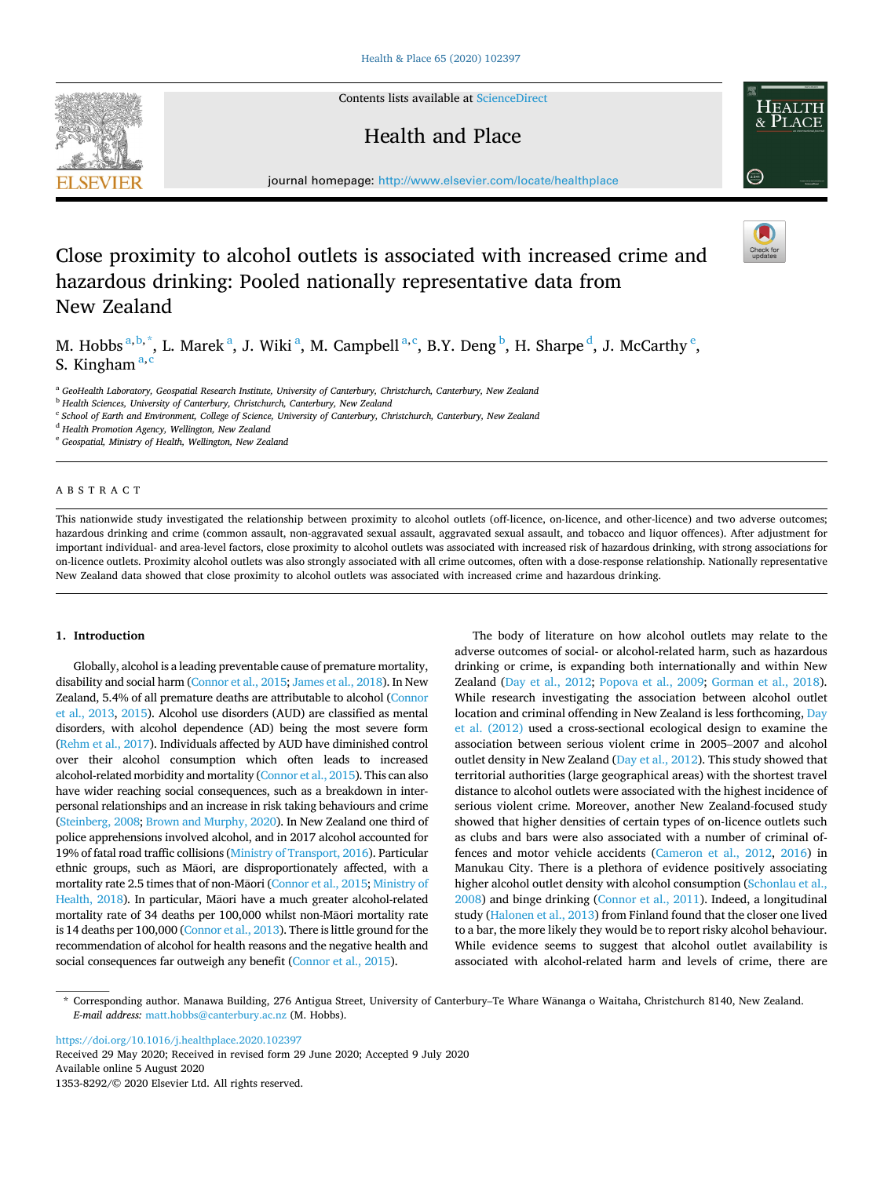Contents lists available at [ScienceDirect](www.sciencedirect.com/science/journal/13538292)

# Health and Place

journal homepage: [http://www.elsevier.com/locate/healthplace](https://http://www.elsevier.com/locate/healthplace) 

# Close proximity to alcohol outlets is associated with increased crime and hazardous drinking: Pooled nationally representative data from New Zealand

M. Hobbs  $a,b,\dagger$ , L. Marek  $a$ , J. Wiki  $a$ , M. Campbell  $a,c$ , B.Y. Deng  $b$ , H. Sharpe  $d$ , J. McCarthy  $e$ , S. Kingham<sup>a,c</sup>

<sup>a</sup> *GeoHealth Laboratory, Geospatial Research Institute, University of Canterbury, Christchurch, Canterbury, New Zealand* 

<sup>b</sup> *Health Sciences, University of Canterbury, Christchurch, Canterbury, New Zealand* 

<sup>c</sup> *School of Earth and Environment, College of Science, University of Canterbury, Christchurch, Canterbury, New Zealand* 

<sup>d</sup> *Health Promotion Agency, Wellington, New Zealand* 

<sup>e</sup> *Geospatial, Ministry of Health, Wellington, New Zealand* 

# ABSTRACT

This nationwide study investigated the relationship between proximity to alcohol outlets (off-licence, on-licence, and other-licence) and two adverse outcomes; hazardous drinking and crime (common assault, non-aggravated sexual assault, aggravated sexual assault, and tobacco and liquor offences). After adjustment for important individual- and area-level factors, close proximity to alcohol outlets was associated with increased risk of hazardous drinking, with strong associations for on-licence outlets. Proximity alcohol outlets was also strongly associated with all crime outcomes, often with a dose-response relationship. Nationally representative New Zealand data showed that close proximity to alcohol outlets was associated with increased crime and hazardous drinking.

## **1. Introduction**

Globally, alcohol is a leading preventable cause of premature mortality, disability and social harm [\(Connor et al., 2015](#page-6-0); [James et al., 2018\)](#page-6-0). In New Zealand, 5.4% of all premature deaths are attributable to alcohol [\(Connor](#page-6-0)  [et al., 2013](#page-6-0), [2015](#page-6-0)). Alcohol use disorders (AUD) are classified as mental disorders, with alcohol dependence (AD) being the most severe form [\(Rehm et al., 2017\)](#page-6-0). Individuals affected by AUD have diminished control over their alcohol consumption which often leads to increased alcohol-related morbidity and mortality ([Connor et al., 2015](#page-6-0)). This can also have wider reaching social consequences, such as a breakdown in interpersonal relationships and an increase in risk taking behaviours and crime [\(Steinberg, 2008](#page-6-0); [Brown and Murphy, 2020](#page-6-0)). In New Zealand one third of police apprehensions involved alcohol, and in 2017 alcohol accounted for 19% of fatal road traffic collisions [\(Ministry of Transport, 2016](#page-6-0)). Particular ethnic groups, such as Ma�ori, are disproportionately affected, with a mortality rate 2.5 times that of non-Ma�ori [\(Connor et al., 2015; Ministry of](#page-6-0)  [Health, 2018\)](#page-6-0). In particular, Māori have a much greater alcohol-related mortality rate of 34 deaths per 100,000 whilst non-Maori mortality rate is 14 deaths per 100,000 [\(Connor et al., 2013](#page-6-0)). There is little ground for the recommendation of alcohol for health reasons and the negative health and social consequences far outweigh any benefit [\(Connor et al., 2015](#page-6-0)).

The body of literature on how alcohol outlets may relate to the adverse outcomes of social- or alcohol-related harm, such as hazardous drinking or crime, is expanding both internationally and within New Zealand ([Day et al., 2012;](#page-6-0) [Popova et al., 2009](#page-6-0); [Gorman et al., 2018](#page-6-0)). While research investigating the association between alcohol outlet location and criminal offending in New Zealand is less forthcoming, [Day](#page-6-0)  [et al. \(2012\)](#page-6-0) used a cross-sectional ecological design to examine the association between serious violent crime in 2005–2007 and alcohol outlet density in New Zealand ([Day et al., 2012](#page-6-0)). This study showed that territorial authorities (large geographical areas) with the shortest travel distance to alcohol outlets were associated with the highest incidence of serious violent crime. Moreover, another New Zealand-focused study showed that higher densities of certain types of on-licence outlets such as clubs and bars were also associated with a number of criminal offences and motor vehicle accidents ([Cameron et al., 2012](#page-6-0), [2016](#page-6-0)) in Manukau City. There is a plethora of evidence positively associating higher alcohol outlet density with alcohol consumption (Schonlau et al., [2008\)](#page-6-0) and binge drinking [\(Connor et al., 2011\)](#page-6-0). Indeed, a longitudinal study [\(Halonen et al., 2013\)](#page-6-0) from Finland found that the closer one lived to a bar, the more likely they would be to report risky alcohol behaviour. While evidence seems to suggest that alcohol outlet availability is associated with alcohol-related harm and levels of crime, there are

\* Corresponding author. Manawa Building, 276 Antigua Street, University of Canterbury–Te Whare W� ananga o Waitaha, Christchurch 8140, New Zealand. *E-mail address:* [matt.hobbs@canterbury.ac.nz](mailto:matt.hobbs@canterbury.ac.nz) (M. Hobbs).

<https://doi.org/10.1016/j.healthplace.2020.102397>

Available online 5 August 2020 1353-8292/© 2020 Elsevier Ltd. All rights reserved. Received 29 May 2020; Received in revised form 29 June 2020; Accepted 9 July 2020





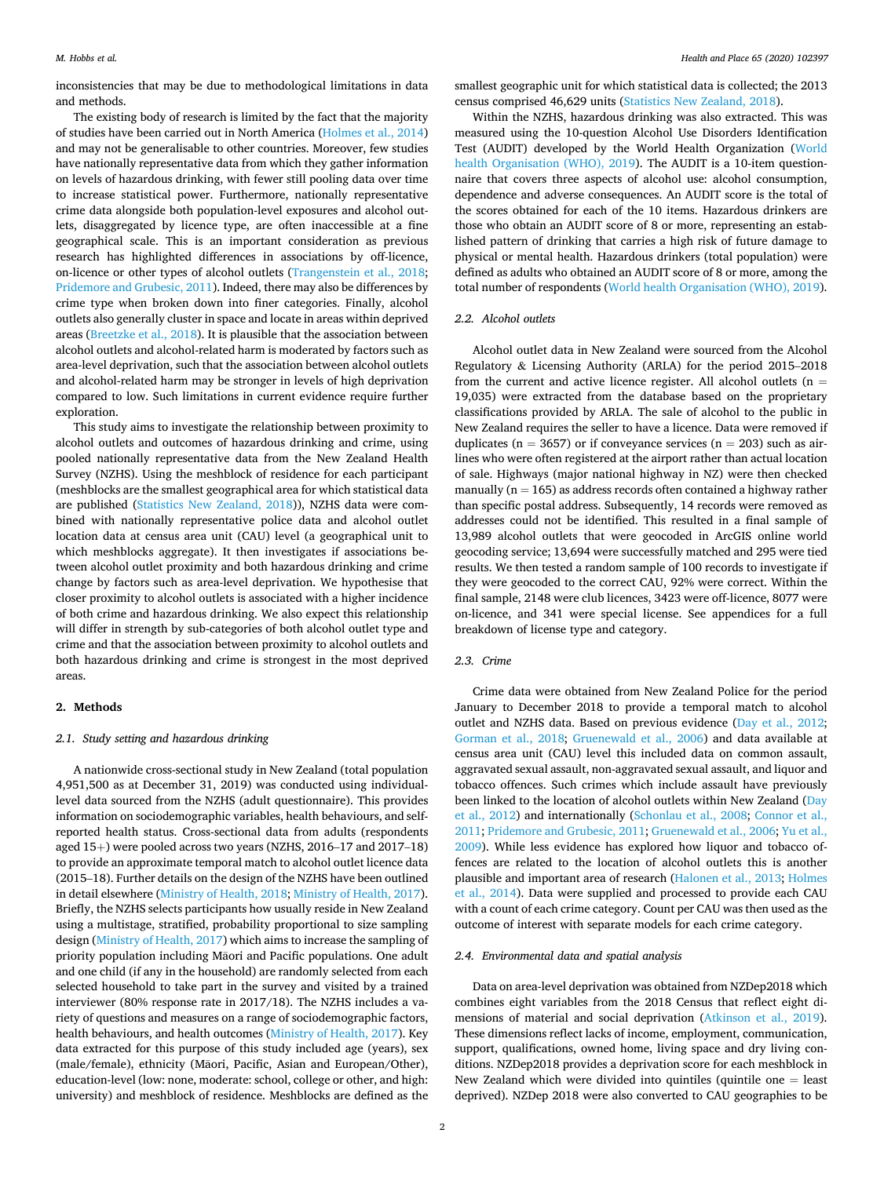inconsistencies that may be due to methodological limitations in data and methods.

The existing body of research is limited by the fact that the majority of studies have been carried out in North America [\(Holmes et al., 2014\)](#page-6-0) and may not be generalisable to other countries. Moreover, few studies have nationally representative data from which they gather information on levels of hazardous drinking, with fewer still pooling data over time to increase statistical power. Furthermore, nationally representative crime data alongside both population-level exposures and alcohol outlets, disaggregated by licence type, are often inaccessible at a fine geographical scale. This is an important consideration as previous research has highlighted differences in associations by off-licence, on-licence or other types of alcohol outlets ([Trangenstein et al., 2018](#page-6-0); [Pridemore and Grubesic, 2011](#page-6-0)). Indeed, there may also be differences by crime type when broken down into finer categories. Finally, alcohol outlets also generally cluster in space and locate in areas within deprived areas ([Breetzke et al., 2018\)](#page-6-0). It is plausible that the association between alcohol outlets and alcohol-related harm is moderated by factors such as area-level deprivation, such that the association between alcohol outlets and alcohol-related harm may be stronger in levels of high deprivation compared to low. Such limitations in current evidence require further exploration.

This study aims to investigate the relationship between proximity to alcohol outlets and outcomes of hazardous drinking and crime, using pooled nationally representative data from the New Zealand Health Survey (NZHS). Using the meshblock of residence for each participant (meshblocks are the smallest geographical area for which statistical data are published [\(Statistics New Zealand, 2018](#page-6-0))), NZHS data were combined with nationally representative police data and alcohol outlet location data at census area unit (CAU) level (a geographical unit to which meshblocks aggregate). It then investigates if associations between alcohol outlet proximity and both hazardous drinking and crime change by factors such as area-level deprivation. We hypothesise that closer proximity to alcohol outlets is associated with a higher incidence of both crime and hazardous drinking. We also expect this relationship will differ in strength by sub-categories of both alcohol outlet type and crime and that the association between proximity to alcohol outlets and both hazardous drinking and crime is strongest in the most deprived areas.

## **2. Methods**

## *2.1. Study setting and hazardous drinking*

A nationwide cross-sectional study in New Zealand (total population 4,951,500 as at December 31, 2019) was conducted using individuallevel data sourced from the NZHS (adult questionnaire). This provides information on sociodemographic variables, health behaviours, and selfreported health status. Cross-sectional data from adults (respondents aged  $15+)$  were pooled across two years (NZHS, 2016–17 and 2017–18) to provide an approximate temporal match to alcohol outlet licence data (2015–18). Further details on the design of the NZHS have been outlined in detail elsewhere [\(Ministry of Health, 2018; Ministry of Health, 2017](#page-6-0)). Briefly, the NZHS selects participants how usually reside in New Zealand using a multistage, stratified, probability proportional to size sampling design ([Ministry of Health, 2017](#page-6-0)) which aims to increase the sampling of priority population including Māori and Pacific populations. One adult and one child (if any in the household) are randomly selected from each selected household to take part in the survey and visited by a trained interviewer (80% response rate in 2017/18). The NZHS includes a variety of questions and measures on a range of sociodemographic factors, health behaviours, and health outcomes [\(Ministry of Health, 2017](#page-6-0)). Key data extracted for this purpose of this study included age (years), sex (male/female), ethnicity (Māori, Pacific, Asian and European/Other), education-level (low: none, moderate: school, college or other, and high: university) and meshblock of residence. Meshblocks are defined as the

smallest geographic unit for which statistical data is collected; the 2013 census comprised 46,629 units ([Statistics New Zealand, 2018](#page-6-0)).

Within the NZHS, hazardous drinking was also extracted. This was measured using the 10-question Alcohol Use Disorders Identification Test (AUDIT) developed by the World Health Organization ([World](#page-6-0)  [health Organisation \(WHO\), 2019](#page-6-0)). The AUDIT is a 10-item questionnaire that covers three aspects of alcohol use: alcohol consumption, dependence and adverse consequences. An AUDIT score is the total of the scores obtained for each of the 10 items. Hazardous drinkers are those who obtain an AUDIT score of 8 or more, representing an established pattern of drinking that carries a high risk of future damage to physical or mental health. Hazardous drinkers (total population) were defined as adults who obtained an AUDIT score of 8 or more, among the total number of respondents [\(World health Organisation \(WHO\), 2019](#page-6-0)).

#### *2.2. Alcohol outlets*

Alcohol outlet data in New Zealand were sourced from the Alcohol Regulatory & Licensing Authority (ARLA) for the period 2015–2018 from the current and active licence register. All alcohol outlets ( $n =$ 19,035) were extracted from the database based on the proprietary classifications provided by ARLA. The sale of alcohol to the public in New Zealand requires the seller to have a licence. Data were removed if duplicates ( $n = 3657$ ) or if conveyance services ( $n = 203$ ) such as airlines who were often registered at the airport rather than actual location of sale. Highways (major national highway in NZ) were then checked manually ( $n = 165$ ) as address records often contained a highway rather than specific postal address. Subsequently, 14 records were removed as addresses could not be identified. This resulted in a final sample of 13,989 alcohol outlets that were geocoded in ArcGIS online world geocoding service; 13,694 were successfully matched and 295 were tied results. We then tested a random sample of 100 records to investigate if they were geocoded to the correct CAU, 92% were correct. Within the final sample, 2148 were club licences, 3423 were off-licence, 8077 were on-licence, and 341 were special license. See appendices for a full breakdown of license type and category.

## *2.3. Crime*

Crime data were obtained from New Zealand Police for the period January to December 2018 to provide a temporal match to alcohol outlet and NZHS data. Based on previous evidence ([Day et al., 2012](#page-6-0); [Gorman et al., 2018](#page-6-0); [Gruenewald et al., 2006](#page-6-0)) and data available at census area unit (CAU) level this included data on common assault, aggravated sexual assault, non-aggravated sexual assault, and liquor and tobacco offences. Such crimes which include assault have previously been linked to the location of alcohol outlets within New Zealand ([Day](#page-6-0)  [et al., 2012\)](#page-6-0) and internationally [\(Schonlau et al., 2008;](#page-6-0) [Connor et al.,](#page-6-0)  [2011; Pridemore and Grubesic, 2011; Gruenewald et al., 2006; Yu et al.,](#page-6-0)  [2009\)](#page-6-0). While less evidence has explored how liquor and tobacco offences are related to the location of alcohol outlets this is another plausible and important area of research ([Halonen et al., 2013; Holmes](#page-6-0)  [et al., 2014](#page-6-0)). Data were supplied and processed to provide each CAU with a count of each crime category. Count per CAU was then used as the outcome of interest with separate models for each crime category.

#### *2.4. Environmental data and spatial analysis*

Data on area-level deprivation was obtained from NZDep2018 which combines eight variables from the 2018 Census that reflect eight dimensions of material and social deprivation ([Atkinson et al., 2019](#page-6-0)). These dimensions reflect lacks of income, employment, communication, support, qualifications, owned home, living space and dry living conditions. NZDep2018 provides a deprivation score for each meshblock in New Zealand which were divided into quintiles (quintile one  $=$  least deprived). NZDep 2018 were also converted to CAU geographies to be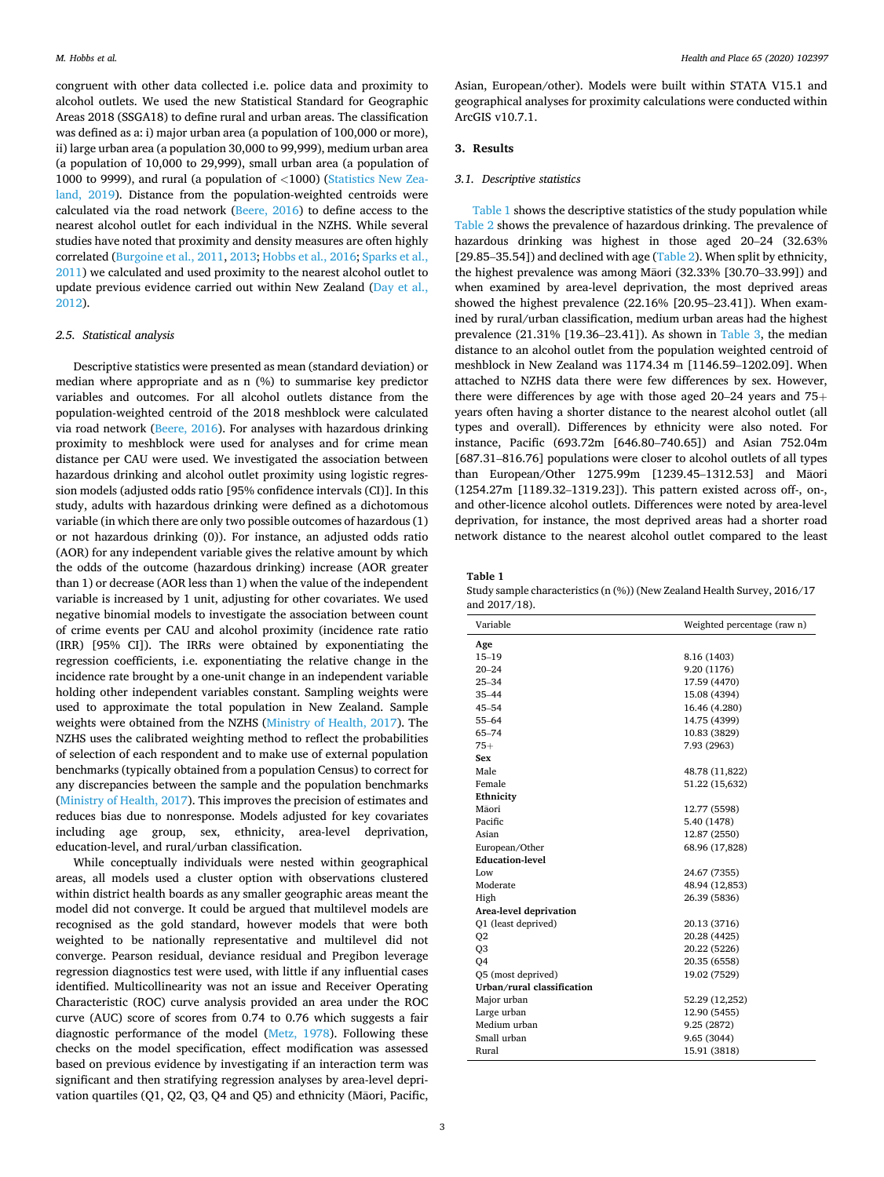congruent with other data collected i.e. police data and proximity to alcohol outlets. We used the new Statistical Standard for Geographic Areas 2018 (SSGA18) to define rural and urban areas. The classification was defined as a: i) major urban area (a population of 100,000 or more), ii) large urban area (a population 30,000 to 99,999), medium urban area (a population of 10,000 to 29,999), small urban area (a population of 1000 to 9999), and rural (a population of *<*1000) [\(Statistics New Zea](#page-6-0)[land, 2019](#page-6-0)). Distance from the population-weighted centroids were calculated via the road network ([Beere, 2016\)](#page-6-0) to define access to the nearest alcohol outlet for each individual in the NZHS. While several studies have noted that proximity and density measures are often highly correlated [\(Burgoine et al., 2011, 2013; Hobbs et al., 2016](#page-6-0); [Sparks et al.,](#page-6-0)  [2011\)](#page-6-0) we calculated and used proximity to the nearest alcohol outlet to update previous evidence carried out within New Zealand (Day et al., [2012\)](#page-6-0).

## *2.5. Statistical analysis*

Descriptive statistics were presented as mean (standard deviation) or median where appropriate and as n (%) to summarise key predictor variables and outcomes. For all alcohol outlets distance from the population-weighted centroid of the 2018 meshblock were calculated via road network [\(Beere, 2016\)](#page-6-0). For analyses with hazardous drinking proximity to meshblock were used for analyses and for crime mean distance per CAU were used. We investigated the association between hazardous drinking and alcohol outlet proximity using logistic regression models (adjusted odds ratio [95% confidence intervals (CI)]. In this study, adults with hazardous drinking were defined as a dichotomous variable (in which there are only two possible outcomes of hazardous (1) or not hazardous drinking (0)). For instance, an adjusted odds ratio (AOR) for any independent variable gives the relative amount by which the odds of the outcome (hazardous drinking) increase (AOR greater than 1) or decrease (AOR less than 1) when the value of the independent variable is increased by 1 unit, adjusting for other covariates. We used negative binomial models to investigate the association between count of crime events per CAU and alcohol proximity (incidence rate ratio (IRR) [95% CI]). The IRRs were obtained by exponentiating the regression coefficients, i.e. exponentiating the relative change in the incidence rate brought by a one-unit change in an independent variable holding other independent variables constant. Sampling weights were used to approximate the total population in New Zealand. Sample weights were obtained from the NZHS ([Ministry of Health, 2017\)](#page-6-0). The NZHS uses the calibrated weighting method to reflect the probabilities of selection of each respondent and to make use of external population benchmarks (typically obtained from a population Census) to correct for any discrepancies between the sample and the population benchmarks ([Ministry of Health, 2017\)](#page-6-0). This improves the precision of estimates and reduces bias due to nonresponse. Models adjusted for key covariates including age group, sex, ethnicity, area-level deprivation, education-level, and rural/urban classification.

While conceptually individuals were nested within geographical areas, all models used a cluster option with observations clustered within district health boards as any smaller geographic areas meant the model did not converge. It could be argued that multilevel models are recognised as the gold standard, however models that were both weighted to be nationally representative and multilevel did not converge. Pearson residual, deviance residual and Pregibon leverage regression diagnostics test were used, with little if any influential cases identified. Multicollinearity was not an issue and Receiver Operating Characteristic (ROC) curve analysis provided an area under the ROC curve (AUC) score of scores from 0.74 to 0.76 which suggests a fair diagnostic performance of the model ([Metz, 1978](#page-6-0)). Following these checks on the model specification, effect modification was assessed based on previous evidence by investigating if an interaction term was significant and then stratifying regression analyses by area-level deprivation quartiles (Q1, Q2, Q3, Q4 and Q5) and ethnicity (Maori, Pacific,

Asian, European/other). Models were built within STATA V15.1 and geographical analyses for proximity calculations were conducted within ArcGIS v10.7.1.

## **3. Results**

#### *3.1. Descriptive statistics*

Table 1 shows the descriptive statistics of the study population while [Table 2](#page-3-0) shows the prevalence of hazardous drinking. The prevalence of hazardous drinking was highest in those aged 20–24 (32.63% [29.85-35.54]) and declined with age ([Table 2](#page-3-0)). When split by ethnicity, the highest prevalence was among Māori (32.33% [30.70-33.99]) and when examined by area-level deprivation, the most deprived areas showed the highest prevalence (22.16% [20.95–23.41]). When examined by rural/urban classification, medium urban areas had the highest prevalence (21.31% [19.36–23.41]). As shown in [Table 3,](#page-3-0) the median distance to an alcohol outlet from the population weighted centroid of meshblock in New Zealand was 1174.34 m [1146.59–1202.09]. When attached to NZHS data there were few differences by sex. However, there were differences by age with those aged 20–24 years and  $75<sup>+</sup>$ years often having a shorter distance to the nearest alcohol outlet (all types and overall). Differences by ethnicity were also noted. For instance, Pacific (693.72m [646.80–740.65]) and Asian 752.04m [687.31–816.76] populations were closer to alcohol outlets of all types than European/Other 1275.99m [1239.45-1312.53] and Maori (1254.27m [1189.32–1319.23]). This pattern existed across off-, on-, and other-licence alcohol outlets. Differences were noted by area-level deprivation, for instance, the most deprived areas had a shorter road network distance to the nearest alcohol outlet compared to the least

**Table 1** 

Study sample characteristics (n (%)) (New Zealand Health Survey, 2016/17 and 2017/18).

| Variable                   | Weighted percentage (raw n) |
|----------------------------|-----------------------------|
| Age                        |                             |
| $15 - 19$                  | 8.16 (1403)                 |
| $20 - 24$                  | 9.20 (1176)                 |
| $25 - 34$                  | 17.59 (4470)                |
| $35 - 44$                  | 15.08 (4394)                |
| $45 - 54$                  | 16.46 (4.280)               |
| $55 - 64$                  | 14.75 (4399)                |
| $65 - 74$                  | 10.83 (3829)                |
| $75+$                      | 7.93 (2963)                 |
| Sex                        |                             |
| Male                       | 48.78 (11,822)              |
| Female                     | 51.22 (15,632)              |
| Ethnicity                  |                             |
| Māori                      | 12.77 (5598)                |
| Pacific                    | 5.40 (1478)                 |
| Asian                      | 12.87 (2550)                |
| European/Other             | 68.96 (17,828)              |
| <b>Education-level</b>     |                             |
| Low                        | 24.67 (7355)                |
| Moderate                   | 48.94 (12,853)              |
| High                       | 26.39 (5836)                |
| Area-level deprivation     |                             |
| Q1 (least deprived)        | 20.13 (3716)                |
| Q <sub>2</sub>             | 20.28 (4425)                |
| Q <sub>3</sub>             | 20.22 (5226)                |
| O <sub>4</sub>             | 20.35 (6558)                |
| O5 (most deprived)         | 19.02 (7529)                |
| Urban/rural classification |                             |
| Major urban                | 52.29 (12,252)              |
| Large urban                | 12.90 (5455)                |
| Medium urban               | 9.25 (2872)                 |
| Small urban                | 9.65 (3044)                 |
| Rural                      | 15.91 (3818)                |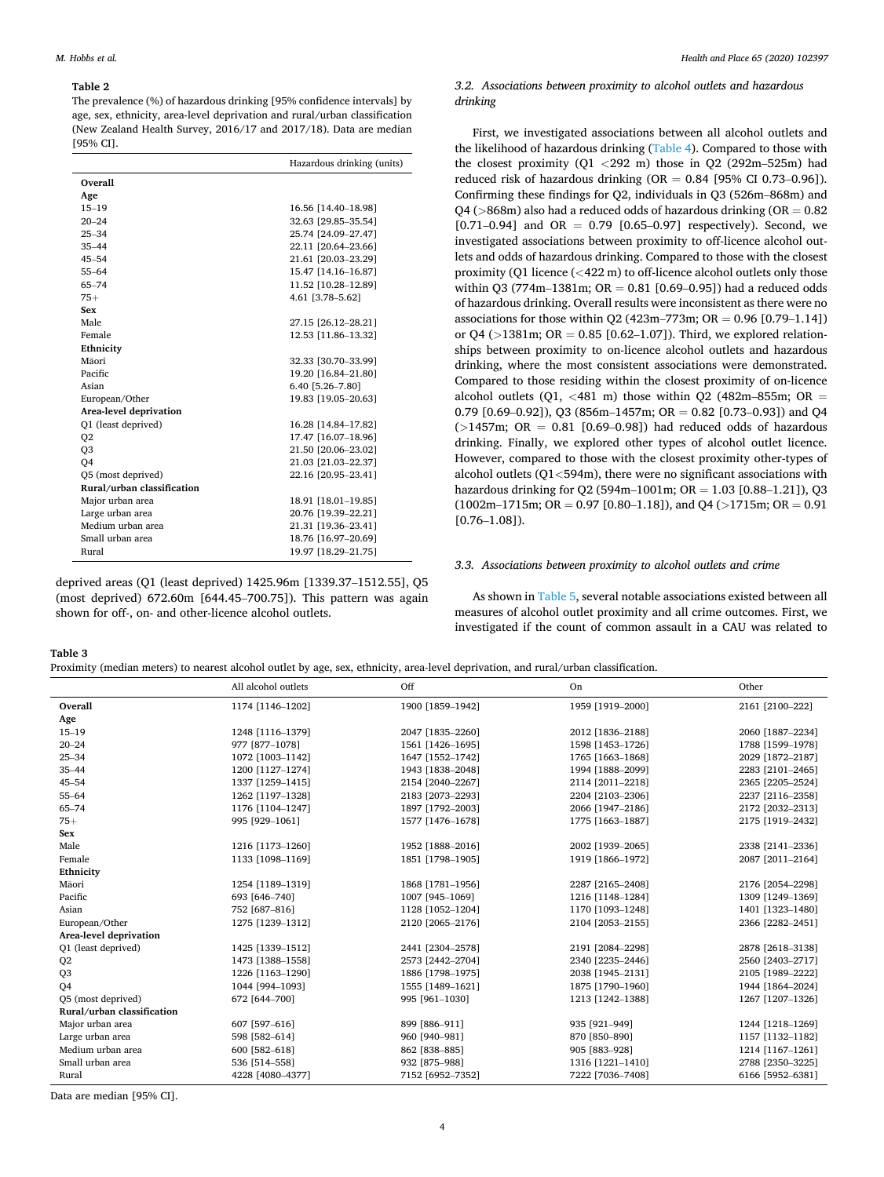#### <span id="page-3-0"></span>**Table 2**

The prevalence (%) of hazardous drinking [95% confidence intervals] by age, sex, ethnicity, area-level deprivation and rural/urban classification (New Zealand Health Survey, 2016/17 and 2017/18). Data are median [95% CI].

|                            | Hazardous drinking (units) |
|----------------------------|----------------------------|
| Overall                    |                            |
| Age                        |                            |
| $15 - 19$                  | 16.56 [14.40-18.98]        |
| $20 - 24$                  | 32.63 [29.85-35.54]        |
| $25 - 34$                  | 25.74 [24.09-27.47]        |
| $35 - 44$                  | 22.11 [20.64-23.66]        |
| $45 - 54$                  | 21.61 [20.03-23.29]        |
| $55 - 64$                  | 15.47 [14.16-16.87]        |
| $65 - 74$                  | 11.52 [10.28-12.89]        |
| $75+$                      | 4.61 [3.78-5.62]           |
| Sex                        |                            |
| Male                       | 27.15 [26.12-28.21]        |
| Female                     | 12.53 [11.86-13.32]        |
| Ethnicity                  |                            |
| Māori                      | 32.33 [30.70-33.99]        |
| Pacific                    | 19.20 [16.84-21.80]        |
| Asian                      | 6.40 [5.26-7.80]           |
| European/Other             | 19.83 [19.05-20.63]        |
| Area-level deprivation     |                            |
| Q1 (least deprived)        | 16.28 [14.84-17.82]        |
| Q <sub>2</sub>             | 17.47 [16.07-18.96]        |
| Q <sub>3</sub>             | 21.50 [20.06-23.02]        |
| O <sub>4</sub>             | 21.03 [21.03-22.37]        |
| Q5 (most deprived)         | 22.16 [20.95-23.41]        |
| Rural/urban classification |                            |
| Major urban area           | 18.91 [18.01-19.85]        |
| Large urban area           | 20.76 [19.39-22.21]        |
| Medium urban area          | 21.31 [19.36-23.41]        |
| Small urban area           | 18.76 [16.97-20.69]        |
| Rural                      | 19.97 [18.29-21.75]        |

deprived areas (Q1 (least deprived) 1425.96m [1339.37–1512.55], Q5 (most deprived) 672.60m [644.45–700.75]). This pattern was again shown for off-, on- and other-licence alcohol outlets.

## *3.2. Associations between proximity to alcohol outlets and hazardous drinking*

First, we investigated associations between all alcohol outlets and the likelihood of hazardous drinking ([Table 4](#page-4-0)). Compared to those with the closest proximity (Q1 *<*292 m) those in Q2 (292m–525m) had reduced risk of hazardous drinking (OR  $= 0.84$  [95% CI 0.73–0.96]). Confirming these findings for Q2, individuals in Q3 (526m–868m) and  $Q4$  ( $>868$ m) also had a reduced odds of hazardous drinking ( $OR = 0.82$ )  $[0.71-0.94]$  and OR = 0.79  $[0.65-0.97]$  respectively). Second, we investigated associations between proximity to off-licence alcohol outlets and odds of hazardous drinking. Compared to those with the closest proximity (Q1 licence (*<*422 m) to off-licence alcohol outlets only those within Q3 (774m-1381m;  $OR = 0.81$  [0.69-0.95]) had a reduced odds of hazardous drinking. Overall results were inconsistent as there were no associations for those within Q2 (423m–773m;  $OR = 0.96$  [0.79–1.14]) or  $Q4$  ( $>$ 1381m;  $OR = 0.85$  [0.62–1.07]). Third, we explored relationships between proximity to on-licence alcohol outlets and hazardous drinking, where the most consistent associations were demonstrated. Compared to those residing within the closest proximity of on-licence alcohol outlets  $(Q1, \langle 481 \rangle m)$  those within  $Q2$  (482m–855m; OR = 0.79  $[0.69-0.92]$ , Q3  $(856m-1457m;$  QR = 0.82  $[0.73-0.93]$  and Q4  $(>1457m;$  OR = 0.81 [0.69-0.98]) had reduced odds of hazardous drinking. Finally, we explored other types of alcohol outlet licence. However, compared to those with the closest proximity other-types of alcohol outlets (Q1*<*594m), there were no significant associations with hazardous drinking for Q2 (594m–1001m;  $OR = 1.03$  [0.88–1.21]), Q3  $(1002m-1715m; OR = 0.97 [0.80-1.18])$ , and Q4 (>1715m; OR = 0.91)  $[0.76 - 1.08]$ .

## *3.3. Associations between proximity to alcohol outlets and crime*

As shown in [Table 5](#page-5-0), several notable associations existed between all measures of alcohol outlet proximity and all crime outcomes. First, we investigated if the count of common assault in a CAU was related to

**Table 3** 

|  |  | Proximity (median meters) to nearest alcohol outlet by age, sex, ethnicity, area-level deprivation, and rural/urban classification. |  |
|--|--|-------------------------------------------------------------------------------------------------------------------------------------|--|
|  |  |                                                                                                                                     |  |

|                            | All alcohol outlets | Off              | On               | Other            |
|----------------------------|---------------------|------------------|------------------|------------------|
| Overall                    | 1174 [1146-1202]    | 1900 [1859-1942] | 1959 [1919-2000] | 2161 [2100-222]  |
| Age                        |                     |                  |                  |                  |
| $15 - 19$                  | 1248 [1116-1379]    | 2047 [1835-2260] | 2012 [1836-2188] | 2060 [1887-2234] |
| $20 - 24$                  | 977 [877-1078]      | 1561 [1426-1695] | 1598 [1453-1726] | 1788 [1599-1978] |
| $25 - 34$                  | 1072 [1003-1142]    | 1647 [1552-1742] | 1765 [1663-1868] | 2029 [1872-2187] |
| $35 - 44$                  | 1200 [1127-1274]    | 1943 [1838-2048] | 1994 [1888-2099] | 2283 [2101-2465] |
| $45 - 54$                  | 1337 [1259-1415]    | 2154 [2040-2267] | 2114 [2011-2218] | 2365 [2205-2524] |
| $55 - 64$                  | 1262 [1197-1328]    | 2183 [2073-2293] | 2204 [2103-2306] | 2237 [2116-2358] |
| $65 - 74$                  | 1176 [1104-1247]    | 1897 [1792-2003] | 2066 [1947-2186] | 2172 [2032-2313] |
| $75+$                      | 995 [929-1061]      | 1577 [1476-1678] | 1775 [1663-1887] | 2175 [1919-2432] |
| Sex                        |                     |                  |                  |                  |
| Male                       | 1216 [1173-1260]    | 1952 [1888-2016] | 2002 [1939-2065] | 2338 [2141-2336] |
| Female                     | 1133 [1098-1169]    | 1851 [1798-1905] | 1919 [1866-1972] | 2087 [2011-2164] |
| Ethnicity                  |                     |                  |                  |                  |
| Māori                      | 1254 [1189-1319]    | 1868 [1781-1956] | 2287 [2165-2408] | 2176 [2054-2298] |
| Pacific                    | 693 [646-740]       | 1007 [945-1069]  | 1216 [1148-1284] | 1309 [1249-1369] |
| Asian                      | 752 [687-816]       | 1128 [1052-1204] | 1170 [1093-1248] | 1401 [1323-1480] |
| European/Other             | 1275 [1239-1312]    | 2120 [2065-2176] | 2104 [2053-2155] | 2366 [2282-2451] |
| Area-level deprivation     |                     |                  |                  |                  |
| O1 (least deprived)        | 1425 [1339-1512]    | 2441 [2304-2578] | 2191 [2084-2298] | 2878 [2618-3138] |
| Q <sub>2</sub>             | 1473 [1388-1558]    | 2573 [2442-2704] | 2340 [2235-2446] | 2560 [2403-2717] |
| Q <sub>3</sub>             | 1226 [1163-1290]    | 1886 [1798-1975] | 2038 [1945-2131] | 2105 [1989-2222] |
| O <sub>4</sub>             | 1044 [994-1093]     | 1555 [1489-1621] | 1875 [1790-1960] | 1944 [1864-2024] |
| O5 (most deprived)         | 672 [644-700]       | 995 [961-1030]   | 1213 [1242-1388] | 1267 [1207-1326] |
| Rural/urban classification |                     |                  |                  |                  |
| Major urban area           | 607 [597-616]       | 899 [886-911]    | 935 [921-949]    | 1244 [1218-1269] |
| Large urban area           | 598 [582-614]       | 960 [940-981]    | 870 [850-890]    | 1157 [1132-1182] |
| Medium urban area          | 600 [582-618]       | 862 [838-885]    | 905 [883-928]    | 1214 [1167-1261] |
| Small urban area           | 536 [514-558]       | 932 [875-988]    | 1316 [1221-1410] | 2788 [2350-3225] |
| Rural                      | 4228 [4080-4377]    | 7152 [6952-7352] | 7222 [7036-7408] | 6166 [5952-6381] |

Data are median [95% CI].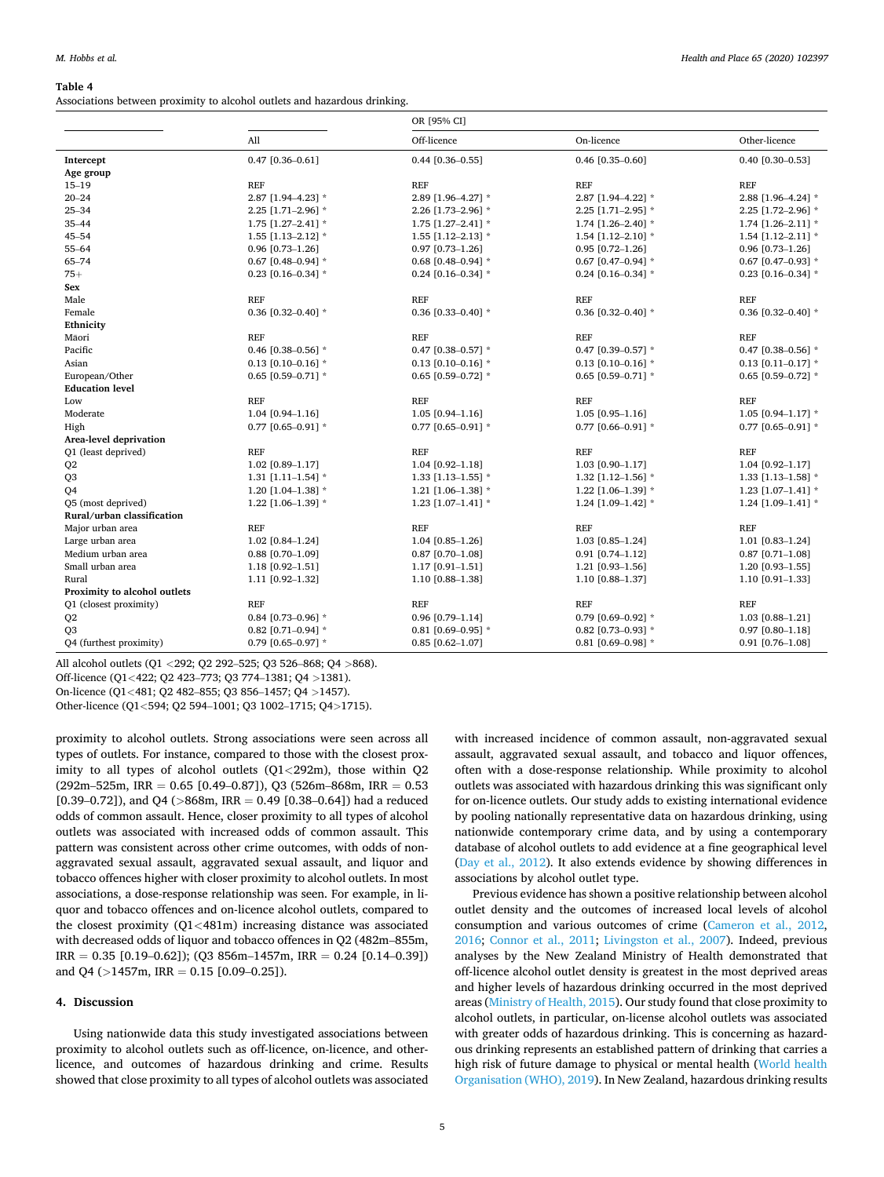#### <span id="page-4-0"></span>**Table 4**

Associations between proximity to alcohol outlets and hazardous drinking.

| Off-licence<br>Other-licence<br>All<br>On-licence<br>0.47 [0.36-0.61]<br>$0.44$ [0.36-0.55]<br>$0.46$ [0.35-0.60]<br>0.40 [0.30-0.53]<br>Intercept<br>Age group<br><b>REF</b><br><b>REF</b><br>$15 - 19$<br><b>REF</b><br><b>REF</b><br>$20 - 24$<br>2.87 [1.94-4.22] *<br>2.87 [1.94-4.23] *<br>2.89 [1.96-4.27] *<br>2.88 [1.96-4.24] *<br>$25 - 34$<br>2.25 [1.71-2.96] *<br>2.26 [1.73-2.96] *<br>2.25 [1.71-2.95] *<br>2.25 [1.72-2.96] *<br>$35 - 44$<br>$1.75$ [1.27-2.41] *<br>1.74 [1.26-2.40] *<br>1.75 [1.27-2.41] *<br>1.74 $[1.26 - 2.11]$ *<br>$45 - 54$<br>$1.55$ [1.13-2.12] $*$<br>1.55 $[1.12 - 2.13]$ *<br>1.54 $[1.12 - 2.10]$ *<br>1.54 $[1.12 - 2.11]$ *<br>$0.96$ [0.73-1.26]<br>$55 - 64$<br>$0.96$ [0.73-1.26]<br>$0.97$ [0.73-1.26]<br>$0.95$ [0.72-1.26]<br>65-74<br>0.67 $[0.48 - 0.94]$ *<br>0.68 $[0.48 - 0.94]$ *<br>$0.67$ [0.47-0.94] *<br>$0.67$ [0.47-0.93] *<br>$75+$<br>0.24 [0.16-0.34] $*$<br>0.23 [0.16-0.34] $*$<br>0.24 [0.16-0.34] $*$<br>0.23 [0.16-0.34] $*$<br>Sex<br><b>REF</b><br><b>REF</b><br><b>REF</b><br>Male<br>REF<br>Female<br>0.36 $[0.32 - 0.40]$ *<br>0.36 $[0.33 - 0.40]$ *<br>0.36 $[0.32 - 0.40]$ *<br>0.36 $[0.32 - 0.40]$ *<br>Ethnicity<br><b>REF</b><br><b>REF</b><br><b>REF</b><br><b>REF</b><br>Māori<br>Pacific<br>0.46 $[0.38 - 0.56]$ *<br>0.47 [0.38-0.57] $*$<br>0.47 $[0.39 - 0.57]$ *<br>0.47 $[0.38 - 0.56]$ *<br>$0.13$ [0.10-0.16] *<br>$0.13$ [0.10-0.16] *<br>$0.13$ [0.10-0.16] *<br>$0.13$ [0.11-0.17] *<br>Asian<br>European/Other<br>$0.65$ [0.59-0.71] *<br>0.65 [0.59-0.72] *<br>0.65 [0.59-0.71] $*$<br>0.65 [0.59-0.72] $*$<br><b>Education level</b><br><b>REF</b><br><b>REF</b><br><b>REF</b><br><b>REF</b><br>Low<br>Moderate<br>1.04 [0.94-1.16]<br>$1.05$ [0.94-1.17] *<br>1.05 [0.94-1.16]<br>$1.05$ [0.95-1.16]<br>0.77 [0.65-0.91] *<br>0.77 [0.65-0.91] *<br>0.77 $[0.66 - 0.91]$ *<br>0.77 [0.65-0.91] $*$<br>High<br>Area-level deprivation<br>Q1 (least deprived)<br><b>REF</b><br><b>REF</b><br><b>REF</b><br><b>REF</b> |                |                  | OR [95% CI]      |                  |                  |  |
|-------------------------------------------------------------------------------------------------------------------------------------------------------------------------------------------------------------------------------------------------------------------------------------------------------------------------------------------------------------------------------------------------------------------------------------------------------------------------------------------------------------------------------------------------------------------------------------------------------------------------------------------------------------------------------------------------------------------------------------------------------------------------------------------------------------------------------------------------------------------------------------------------------------------------------------------------------------------------------------------------------------------------------------------------------------------------------------------------------------------------------------------------------------------------------------------------------------------------------------------------------------------------------------------------------------------------------------------------------------------------------------------------------------------------------------------------------------------------------------------------------------------------------------------------------------------------------------------------------------------------------------------------------------------------------------------------------------------------------------------------------------------------------------------------------------------------------------------------------------------------------------------------------------------------------------------------------------------------------------------------------------------------------|----------------|------------------|------------------|------------------|------------------|--|
|                                                                                                                                                                                                                                                                                                                                                                                                                                                                                                                                                                                                                                                                                                                                                                                                                                                                                                                                                                                                                                                                                                                                                                                                                                                                                                                                                                                                                                                                                                                                                                                                                                                                                                                                                                                                                                                                                                                                                                                                                               |                |                  |                  |                  |                  |  |
|                                                                                                                                                                                                                                                                                                                                                                                                                                                                                                                                                                                                                                                                                                                                                                                                                                                                                                                                                                                                                                                                                                                                                                                                                                                                                                                                                                                                                                                                                                                                                                                                                                                                                                                                                                                                                                                                                                                                                                                                                               |                |                  |                  |                  |                  |  |
|                                                                                                                                                                                                                                                                                                                                                                                                                                                                                                                                                                                                                                                                                                                                                                                                                                                                                                                                                                                                                                                                                                                                                                                                                                                                                                                                                                                                                                                                                                                                                                                                                                                                                                                                                                                                                                                                                                                                                                                                                               |                |                  |                  |                  |                  |  |
|                                                                                                                                                                                                                                                                                                                                                                                                                                                                                                                                                                                                                                                                                                                                                                                                                                                                                                                                                                                                                                                                                                                                                                                                                                                                                                                                                                                                                                                                                                                                                                                                                                                                                                                                                                                                                                                                                                                                                                                                                               |                |                  |                  |                  |                  |  |
|                                                                                                                                                                                                                                                                                                                                                                                                                                                                                                                                                                                                                                                                                                                                                                                                                                                                                                                                                                                                                                                                                                                                                                                                                                                                                                                                                                                                                                                                                                                                                                                                                                                                                                                                                                                                                                                                                                                                                                                                                               |                |                  |                  |                  |                  |  |
|                                                                                                                                                                                                                                                                                                                                                                                                                                                                                                                                                                                                                                                                                                                                                                                                                                                                                                                                                                                                                                                                                                                                                                                                                                                                                                                                                                                                                                                                                                                                                                                                                                                                                                                                                                                                                                                                                                                                                                                                                               |                |                  |                  |                  |                  |  |
|                                                                                                                                                                                                                                                                                                                                                                                                                                                                                                                                                                                                                                                                                                                                                                                                                                                                                                                                                                                                                                                                                                                                                                                                                                                                                                                                                                                                                                                                                                                                                                                                                                                                                                                                                                                                                                                                                                                                                                                                                               |                |                  |                  |                  |                  |  |
|                                                                                                                                                                                                                                                                                                                                                                                                                                                                                                                                                                                                                                                                                                                                                                                                                                                                                                                                                                                                                                                                                                                                                                                                                                                                                                                                                                                                                                                                                                                                                                                                                                                                                                                                                                                                                                                                                                                                                                                                                               |                |                  |                  |                  |                  |  |
|                                                                                                                                                                                                                                                                                                                                                                                                                                                                                                                                                                                                                                                                                                                                                                                                                                                                                                                                                                                                                                                                                                                                                                                                                                                                                                                                                                                                                                                                                                                                                                                                                                                                                                                                                                                                                                                                                                                                                                                                                               |                |                  |                  |                  |                  |  |
|                                                                                                                                                                                                                                                                                                                                                                                                                                                                                                                                                                                                                                                                                                                                                                                                                                                                                                                                                                                                                                                                                                                                                                                                                                                                                                                                                                                                                                                                                                                                                                                                                                                                                                                                                                                                                                                                                                                                                                                                                               |                |                  |                  |                  |                  |  |
|                                                                                                                                                                                                                                                                                                                                                                                                                                                                                                                                                                                                                                                                                                                                                                                                                                                                                                                                                                                                                                                                                                                                                                                                                                                                                                                                                                                                                                                                                                                                                                                                                                                                                                                                                                                                                                                                                                                                                                                                                               |                |                  |                  |                  |                  |  |
|                                                                                                                                                                                                                                                                                                                                                                                                                                                                                                                                                                                                                                                                                                                                                                                                                                                                                                                                                                                                                                                                                                                                                                                                                                                                                                                                                                                                                                                                                                                                                                                                                                                                                                                                                                                                                                                                                                                                                                                                                               |                |                  |                  |                  |                  |  |
|                                                                                                                                                                                                                                                                                                                                                                                                                                                                                                                                                                                                                                                                                                                                                                                                                                                                                                                                                                                                                                                                                                                                                                                                                                                                                                                                                                                                                                                                                                                                                                                                                                                                                                                                                                                                                                                                                                                                                                                                                               |                |                  |                  |                  |                  |  |
|                                                                                                                                                                                                                                                                                                                                                                                                                                                                                                                                                                                                                                                                                                                                                                                                                                                                                                                                                                                                                                                                                                                                                                                                                                                                                                                                                                                                                                                                                                                                                                                                                                                                                                                                                                                                                                                                                                                                                                                                                               |                |                  |                  |                  |                  |  |
|                                                                                                                                                                                                                                                                                                                                                                                                                                                                                                                                                                                                                                                                                                                                                                                                                                                                                                                                                                                                                                                                                                                                                                                                                                                                                                                                                                                                                                                                                                                                                                                                                                                                                                                                                                                                                                                                                                                                                                                                                               |                |                  |                  |                  |                  |  |
|                                                                                                                                                                                                                                                                                                                                                                                                                                                                                                                                                                                                                                                                                                                                                                                                                                                                                                                                                                                                                                                                                                                                                                                                                                                                                                                                                                                                                                                                                                                                                                                                                                                                                                                                                                                                                                                                                                                                                                                                                               |                |                  |                  |                  |                  |  |
|                                                                                                                                                                                                                                                                                                                                                                                                                                                                                                                                                                                                                                                                                                                                                                                                                                                                                                                                                                                                                                                                                                                                                                                                                                                                                                                                                                                                                                                                                                                                                                                                                                                                                                                                                                                                                                                                                                                                                                                                                               |                |                  |                  |                  |                  |  |
|                                                                                                                                                                                                                                                                                                                                                                                                                                                                                                                                                                                                                                                                                                                                                                                                                                                                                                                                                                                                                                                                                                                                                                                                                                                                                                                                                                                                                                                                                                                                                                                                                                                                                                                                                                                                                                                                                                                                                                                                                               |                |                  |                  |                  |                  |  |
|                                                                                                                                                                                                                                                                                                                                                                                                                                                                                                                                                                                                                                                                                                                                                                                                                                                                                                                                                                                                                                                                                                                                                                                                                                                                                                                                                                                                                                                                                                                                                                                                                                                                                                                                                                                                                                                                                                                                                                                                                               |                |                  |                  |                  |                  |  |
|                                                                                                                                                                                                                                                                                                                                                                                                                                                                                                                                                                                                                                                                                                                                                                                                                                                                                                                                                                                                                                                                                                                                                                                                                                                                                                                                                                                                                                                                                                                                                                                                                                                                                                                                                                                                                                                                                                                                                                                                                               |                |                  |                  |                  |                  |  |
|                                                                                                                                                                                                                                                                                                                                                                                                                                                                                                                                                                                                                                                                                                                                                                                                                                                                                                                                                                                                                                                                                                                                                                                                                                                                                                                                                                                                                                                                                                                                                                                                                                                                                                                                                                                                                                                                                                                                                                                                                               |                |                  |                  |                  |                  |  |
|                                                                                                                                                                                                                                                                                                                                                                                                                                                                                                                                                                                                                                                                                                                                                                                                                                                                                                                                                                                                                                                                                                                                                                                                                                                                                                                                                                                                                                                                                                                                                                                                                                                                                                                                                                                                                                                                                                                                                                                                                               |                |                  |                  |                  |                  |  |
|                                                                                                                                                                                                                                                                                                                                                                                                                                                                                                                                                                                                                                                                                                                                                                                                                                                                                                                                                                                                                                                                                                                                                                                                                                                                                                                                                                                                                                                                                                                                                                                                                                                                                                                                                                                                                                                                                                                                                                                                                               |                |                  |                  |                  |                  |  |
|                                                                                                                                                                                                                                                                                                                                                                                                                                                                                                                                                                                                                                                                                                                                                                                                                                                                                                                                                                                                                                                                                                                                                                                                                                                                                                                                                                                                                                                                                                                                                                                                                                                                                                                                                                                                                                                                                                                                                                                                                               |                |                  |                  |                  |                  |  |
|                                                                                                                                                                                                                                                                                                                                                                                                                                                                                                                                                                                                                                                                                                                                                                                                                                                                                                                                                                                                                                                                                                                                                                                                                                                                                                                                                                                                                                                                                                                                                                                                                                                                                                                                                                                                                                                                                                                                                                                                                               |                |                  |                  |                  |                  |  |
|                                                                                                                                                                                                                                                                                                                                                                                                                                                                                                                                                                                                                                                                                                                                                                                                                                                                                                                                                                                                                                                                                                                                                                                                                                                                                                                                                                                                                                                                                                                                                                                                                                                                                                                                                                                                                                                                                                                                                                                                                               | Q <sub>2</sub> | 1.02 [0.89-1.17] | 1.04 [0.92-1.18] | 1.03 [0.90-1.17] | 1.04 [0.92-1.17] |  |
| Q <sub>3</sub><br>$1.31$ [1.11-1.54] $*$<br>$1.33$ [1.13-1.55] $*$<br>1.32 [1.12-1.56] $*$<br>$1.33$ [1.13-1.58] *                                                                                                                                                                                                                                                                                                                                                                                                                                                                                                                                                                                                                                                                                                                                                                                                                                                                                                                                                                                                                                                                                                                                                                                                                                                                                                                                                                                                                                                                                                                                                                                                                                                                                                                                                                                                                                                                                                            |                |                  |                  |                  |                  |  |
| 1.22 $[1.06 - 1.39]$ *<br>Q4<br>1.20 [1.04-1.38] *<br>$1.21$ [1.06-1.38] *<br>$1.23$ [1.07-1.41] *                                                                                                                                                                                                                                                                                                                                                                                                                                                                                                                                                                                                                                                                                                                                                                                                                                                                                                                                                                                                                                                                                                                                                                                                                                                                                                                                                                                                                                                                                                                                                                                                                                                                                                                                                                                                                                                                                                                            |                |                  |                  |                  |                  |  |
| Q5 (most deprived)<br>1.22 [1.06-1.39] *<br>$1.23$ [1.07-1.41] *<br>1.24 $[1.09-1.42]$ *<br>1.24 $[1.09-1.41]$ *                                                                                                                                                                                                                                                                                                                                                                                                                                                                                                                                                                                                                                                                                                                                                                                                                                                                                                                                                                                                                                                                                                                                                                                                                                                                                                                                                                                                                                                                                                                                                                                                                                                                                                                                                                                                                                                                                                              |                |                  |                  |                  |                  |  |
| Rural/urban classification                                                                                                                                                                                                                                                                                                                                                                                                                                                                                                                                                                                                                                                                                                                                                                                                                                                                                                                                                                                                                                                                                                                                                                                                                                                                                                                                                                                                                                                                                                                                                                                                                                                                                                                                                                                                                                                                                                                                                                                                    |                |                  |                  |                  |                  |  |
| <b>REF</b><br><b>REF</b><br><b>REF</b><br>Major urban area<br><b>REF</b>                                                                                                                                                                                                                                                                                                                                                                                                                                                                                                                                                                                                                                                                                                                                                                                                                                                                                                                                                                                                                                                                                                                                                                                                                                                                                                                                                                                                                                                                                                                                                                                                                                                                                                                                                                                                                                                                                                                                                      |                |                  |                  |                  |                  |  |
| Large urban area<br>1.02 [0.84-1.24]<br>1.04 [0.85-1.26]<br>1.03 [0.85-1.24]<br>1.01 [0.83-1.24]                                                                                                                                                                                                                                                                                                                                                                                                                                                                                                                                                                                                                                                                                                                                                                                                                                                                                                                                                                                                                                                                                                                                                                                                                                                                                                                                                                                                                                                                                                                                                                                                                                                                                                                                                                                                                                                                                                                              |                |                  |                  |                  |                  |  |
| Medium urban area<br>$0.87$ [0.70-1.08]<br>0.91 [0.74-1.12]<br>$0.88$ [0.70-1.09]<br>$0.87$ [0.71-1.08]                                                                                                                                                                                                                                                                                                                                                                                                                                                                                                                                                                                                                                                                                                                                                                                                                                                                                                                                                                                                                                                                                                                                                                                                                                                                                                                                                                                                                                                                                                                                                                                                                                                                                                                                                                                                                                                                                                                       |                |                  |                  |                  |                  |  |
| Small urban area<br>1.17 [0.91-1.51]<br>1.21 [0.93-1.56]<br>1.18 [0.92-1.51]<br>1.20 [0.93-1.55]                                                                                                                                                                                                                                                                                                                                                                                                                                                                                                                                                                                                                                                                                                                                                                                                                                                                                                                                                                                                                                                                                                                                                                                                                                                                                                                                                                                                                                                                                                                                                                                                                                                                                                                                                                                                                                                                                                                              |                |                  |                  |                  |                  |  |
| 1.11 [0.92-1.32]<br>1.10 [0.88-1.38]<br>1.10 [0.88-1.37]<br>1.10 [0.91-1.33]<br>Rural                                                                                                                                                                                                                                                                                                                                                                                                                                                                                                                                                                                                                                                                                                                                                                                                                                                                                                                                                                                                                                                                                                                                                                                                                                                                                                                                                                                                                                                                                                                                                                                                                                                                                                                                                                                                                                                                                                                                         |                |                  |                  |                  |                  |  |
| Proximity to alcohol outlets                                                                                                                                                                                                                                                                                                                                                                                                                                                                                                                                                                                                                                                                                                                                                                                                                                                                                                                                                                                                                                                                                                                                                                                                                                                                                                                                                                                                                                                                                                                                                                                                                                                                                                                                                                                                                                                                                                                                                                                                  |                |                  |                  |                  |                  |  |
| Q1 (closest proximity)<br><b>REF</b><br>REF<br><b>REF</b><br><b>REF</b>                                                                                                                                                                                                                                                                                                                                                                                                                                                                                                                                                                                                                                                                                                                                                                                                                                                                                                                                                                                                                                                                                                                                                                                                                                                                                                                                                                                                                                                                                                                                                                                                                                                                                                                                                                                                                                                                                                                                                       |                |                  |                  |                  |                  |  |
| Q <sub>2</sub><br>0.84 $[0.73 - 0.96]$ *<br>$0.96$ [0.79-1.14]<br>0.79 $[0.69 - 0.92]$ *<br>1.03 [0.88-1.21]                                                                                                                                                                                                                                                                                                                                                                                                                                                                                                                                                                                                                                                                                                                                                                                                                                                                                                                                                                                                                                                                                                                                                                                                                                                                                                                                                                                                                                                                                                                                                                                                                                                                                                                                                                                                                                                                                                                  |                |                  |                  |                  |                  |  |
| Q <sub>3</sub><br>$0.82$ [0.71-0.94] *<br>$0.81$ [0.69-0.95] *<br>$0.82$ [0.73-0.93] *<br>$0.97$ [0.80-1.18]                                                                                                                                                                                                                                                                                                                                                                                                                                                                                                                                                                                                                                                                                                                                                                                                                                                                                                                                                                                                                                                                                                                                                                                                                                                                                                                                                                                                                                                                                                                                                                                                                                                                                                                                                                                                                                                                                                                  |                |                  |                  |                  |                  |  |
| $0.79$ [0.65-0.97] *<br>$0.81$ [0.69-0.98] *<br>0.91 [0.76-1.08]<br>O4 (furthest proximity)<br>$0.85$ [0.62-1.07]                                                                                                                                                                                                                                                                                                                                                                                                                                                                                                                                                                                                                                                                                                                                                                                                                                                                                                                                                                                                                                                                                                                                                                                                                                                                                                                                                                                                                                                                                                                                                                                                                                                                                                                                                                                                                                                                                                             |                |                  |                  |                  |                  |  |

All alcohol outlets (Q1 *<*292; Q2 292–525; Q3 526–868; Q4 *>*868).

Off-licence (Q1*<*422; Q2 423–773; Q3 774–1381; Q4 *>*1381).

On-licence (Q1*<*481; Q2 482–855; Q3 856–1457; Q4 *>*1457).

Other-licence (Q1*<*594; Q2 594–1001; Q3 1002–1715; Q4*>*1715).

proximity to alcohol outlets. Strong associations were seen across all types of outlets. For instance, compared to those with the closest proximity to all types of alcohol outlets (Q1*<*292m), those within Q2  $(292m-525m, IRR = 0.65 [0.49-0.87]), Q3 (526m-868m, IRR = 0.53)$ [0.39–0.72]), and Q4 ( $>868$ m, IRR = 0.49 [0.38–0.64]) had a reduced odds of common assault. Hence, closer proximity to all types of alcohol outlets was associated with increased odds of common assault. This pattern was consistent across other crime outcomes, with odds of nonaggravated sexual assault, aggravated sexual assault, and liquor and tobacco offences higher with closer proximity to alcohol outlets. In most associations, a dose-response relationship was seen. For example, in liquor and tobacco offences and on-licence alcohol outlets, compared to the closest proximity (Q1*<*481m) increasing distance was associated with decreased odds of liquor and tobacco offences in Q2 (482m–855m,  $IRR = 0.35 [0.19–0.62]); (Q3 856m–1457m, IRR = 0.24 [0.14–0.39])$ and Q4 (>1457m, IRR = 0.15 [0.09-0.25]).

#### **4. Discussion**

Using nationwide data this study investigated associations between proximity to alcohol outlets such as off-licence, on-licence, and otherlicence, and outcomes of hazardous drinking and crime. Results showed that close proximity to all types of alcohol outlets was associated

with increased incidence of common assault, non-aggravated sexual assault, aggravated sexual assault, and tobacco and liquor offences, often with a dose-response relationship. While proximity to alcohol outlets was associated with hazardous drinking this was significant only for on-licence outlets. Our study adds to existing international evidence by pooling nationally representative data on hazardous drinking, using nationwide contemporary crime data, and by using a contemporary database of alcohol outlets to add evidence at a fine geographical level ([Day et al., 2012\)](#page-6-0). It also extends evidence by showing differences in associations by alcohol outlet type.

Previous evidence has shown a positive relationship between alcohol outlet density and the outcomes of increased local levels of alcohol consumption and various outcomes of crime ([Cameron et al., 2012](#page-6-0), [2016;](#page-6-0) [Connor et al., 2011](#page-6-0); [Livingston et al., 2007](#page-6-0)). Indeed, previous analyses by the New Zealand Ministry of Health demonstrated that off-licence alcohol outlet density is greatest in the most deprived areas and higher levels of hazardous drinking occurred in the most deprived areas ([Ministry of Health, 2015\)](#page-6-0). Our study found that close proximity to alcohol outlets, in particular, on-license alcohol outlets was associated with greater odds of hazardous drinking. This is concerning as hazardous drinking represents an established pattern of drinking that carries a high risk of future damage to physical or mental health [\(World health](#page-6-0)  [Organisation \(WHO\), 2019\)](#page-6-0). In New Zealand, hazardous drinking results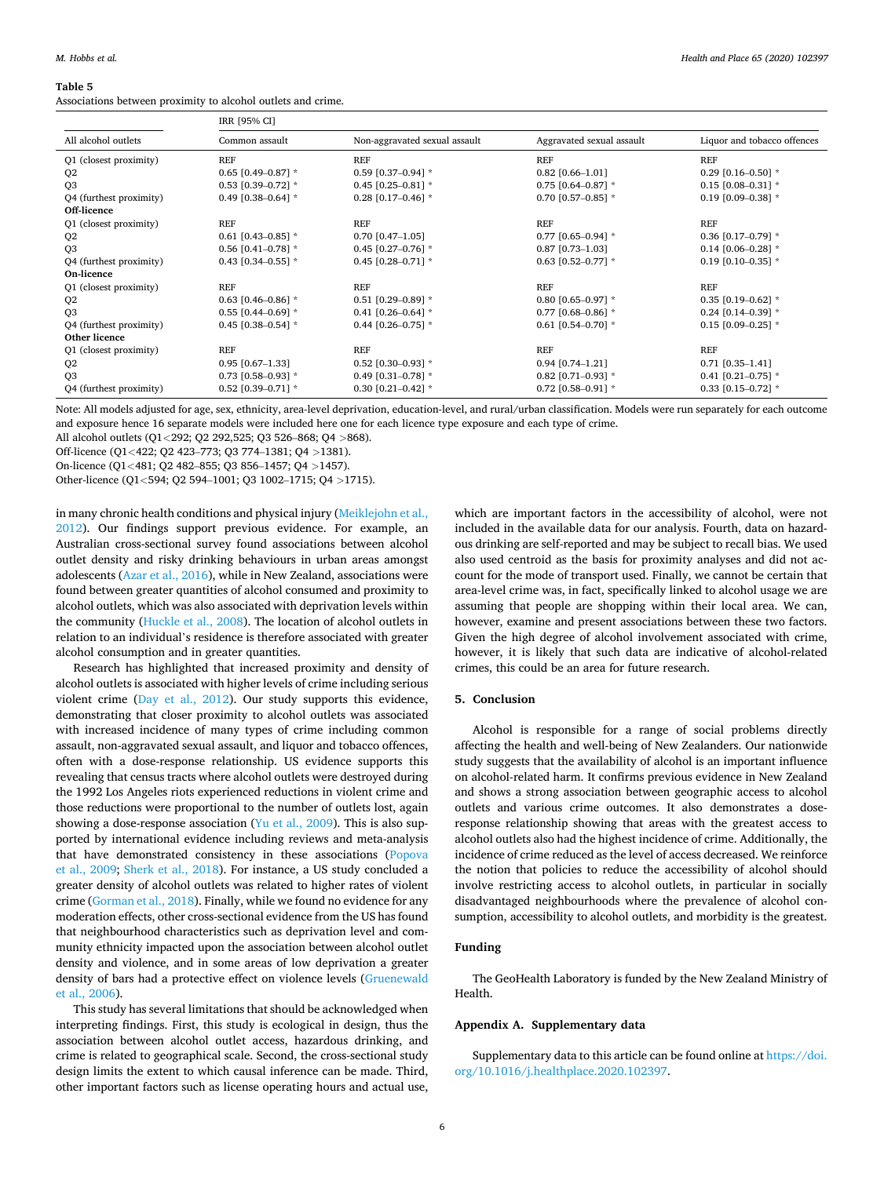#### <span id="page-5-0"></span>**Table 5**

Associations between proximity to alcohol outlets and crime.

|                         | IRR [95% CI]           |                               |                           |                             |  |
|-------------------------|------------------------|-------------------------------|---------------------------|-----------------------------|--|
| All alcohol outlets     | Common assault         | Non-aggravated sexual assault | Aggravated sexual assault | Liquor and tobacco offences |  |
| Q1 (closest proximity)  | <b>REF</b>             | <b>REF</b>                    | <b>REF</b>                | <b>REF</b>                  |  |
| Q <sub>2</sub>          | $0.65$ [0.49-0.87] *   | $0.59$ [0.37-0.94] $*$        | $0.82$ [0.66-1.01]        | 0.29 [0.16-0.50] $*$        |  |
| Q <sub>3</sub>          | $0.53$ [0.39-0.72] *   | 0.45 $[0.25 - 0.81]$ *        | $0.75$ [0.64-0.87] *      | $0.15$ [0.08-0.31] *        |  |
| Q4 (furthest proximity) | 0.49 $[0.38 - 0.64]$ * | 0.28 [0.17-0.46] $*$          | 0.70 [0.57-0.85] $*$      | $0.19$ [0.09-0.38] *        |  |
| Off-licence             |                        |                               |                           |                             |  |
| Q1 (closest proximity)  | <b>REF</b>             | <b>REF</b>                    | <b>REF</b>                | <b>REF</b>                  |  |
| Q <sub>2</sub>          | 0.61 $[0.43 - 0.85]$ * | $0.70$ [0.47-1.05]            | 0.77 [0.65-0.94] $*$      | $0.36$ [0.17-0.79] $*$      |  |
| Q <sub>3</sub>          | 0.56 $[0.41 - 0.78]$ * | 0.45 $[0.27 - 0.76]$ *        | $0.87$ [0.73-1.03]        | $0.14$ [0.06-0.28] *        |  |
| Q4 (furthest proximity) | 0.43 $[0.34 - 0.55]$ * | 0.45 $[0.28 - 0.71]$ *        | $0.63$ [0.52-0.77] $*$    | $0.19$ [0.10-0.35] *        |  |
| On-licence              |                        |                               |                           |                             |  |
| Q1 (closest proximity)  | <b>REF</b>             | <b>REF</b>                    | <b>REF</b>                | <b>REF</b>                  |  |
| Q <sub>2</sub>          | 0.63 $[0.46 - 0.86]$ * | $0.51$ [0.29-0.89] *          | $0.80$ [0.65-0.97] $*$    | $0.35$ [0.19-0.62] *        |  |
| Q <sub>3</sub>          | $0.55$ [0.44-0.69] *   | 0.41 $[0.26 - 0.64]$ *        | 0.77 [0.68-0.86] $*$      | $0.24$ [0.14-0.39] *        |  |
| Q4 (furthest proximity) | 0.45 $[0.38 - 0.54]$ * | 0.44 $[0.26 - 0.75]$ *        | $0.61$ [0.54-0.70] *      | $0.15$ [0.09-0.25] *        |  |
| Other licence           |                        |                               |                           |                             |  |
| Q1 (closest proximity)  | <b>REF</b>             | <b>REF</b>                    | <b>REF</b>                | <b>REF</b>                  |  |
| Q <sub>2</sub>          | $0.95$ $[0.67-1.33]$   | $0.52$ [0.30-0.93] $*$        | $0.94$ [0.74-1.21]        | $0.71$ [0.35-1.41]          |  |
| Q <sub>3</sub>          | 0.73 [0.58-0.93] $*$   | 0.49 $[0.31 - 0.78]$ *        | $0.82$ [0.71-0.93] *      | 0.41 $[0.21 - 0.75]$ *      |  |
| Q4 (furthest proximity) | $0.52$ [0.39-0.71] *   | 0.30 $[0.21 - 0.42]$ *        | $0.72$ [0.58-0.91] *      | $0.33$ [0.15-0.72] $*$      |  |

Note: All models adjusted for age, sex, ethnicity, area-level deprivation, education-level, and rural/urban classification. Models were run separately for each outcome and exposure hence 16 separate models were included here one for each licence type exposure and each type of crime.

All alcohol outlets (Q1*<*292; Q2 292,525; Q3 526–868; Q4 *>*868).

Off-licence (Q1*<*422; Q2 423–773; Q3 774–1381; Q4 *>*1381).

On-licence (Q1*<*481; Q2 482–855; Q3 856–1457; Q4 *>*1457).

Other-licence (Q1*<*594; Q2 594–1001; Q3 1002–1715; Q4 *>*1715).

in many chronic health conditions and physical injury [\(Meiklejohn et al.,](#page-6-0)  [2012\)](#page-6-0). Our findings support previous evidence. For example, an Australian cross-sectional survey found associations between alcohol outlet density and risky drinking behaviours in urban areas amongst adolescents ([Azar et al., 2016](#page-6-0)), while in New Zealand, associations were found between greater quantities of alcohol consumed and proximity to alcohol outlets, which was also associated with deprivation levels within the community ([Huckle et al., 2008\)](#page-6-0). The location of alcohol outlets in relation to an individual's residence is therefore associated with greater alcohol consumption and in greater quantities.

Research has highlighted that increased proximity and density of alcohol outlets is associated with higher levels of crime including serious violent crime [\(Day et al., 2012](#page-6-0)). Our study supports this evidence, demonstrating that closer proximity to alcohol outlets was associated with increased incidence of many types of crime including common assault, non-aggravated sexual assault, and liquor and tobacco offences, often with a dose-response relationship. US evidence supports this revealing that census tracts where alcohol outlets were destroyed during the 1992 Los Angeles riots experienced reductions in violent crime and those reductions were proportional to the number of outlets lost, again showing a dose-response association ([Yu et al., 2009](#page-6-0)). This is also supported by international evidence including reviews and meta-analysis that have demonstrated consistency in these associations ([Popova](#page-6-0)  [et al., 2009;](#page-6-0) [Sherk et al., 2018\)](#page-6-0). For instance, a US study concluded a greater density of alcohol outlets was related to higher rates of violent crime [\(Gorman et al., 2018\)](#page-6-0). Finally, while we found no evidence for any moderation effects, other cross-sectional evidence from the US has found that neighbourhood characteristics such as deprivation level and community ethnicity impacted upon the association between alcohol outlet density and violence, and in some areas of low deprivation a greater density of bars had a protective effect on violence levels ([Gruenewald](#page-6-0)  [et al., 2006\)](#page-6-0).

This study has several limitations that should be acknowledged when interpreting findings. First, this study is ecological in design, thus the association between alcohol outlet access, hazardous drinking, and crime is related to geographical scale. Second, the cross-sectional study design limits the extent to which causal inference can be made. Third, other important factors such as license operating hours and actual use,

which are important factors in the accessibility of alcohol, were not included in the available data for our analysis. Fourth, data on hazardous drinking are self-reported and may be subject to recall bias. We used also used centroid as the basis for proximity analyses and did not account for the mode of transport used. Finally, we cannot be certain that area-level crime was, in fact, specifically linked to alcohol usage we are assuming that people are shopping within their local area. We can, however, examine and present associations between these two factors. Given the high degree of alcohol involvement associated with crime, however, it is likely that such data are indicative of alcohol-related crimes, this could be an area for future research.

## **5. Conclusion**

Alcohol is responsible for a range of social problems directly affecting the health and well-being of New Zealanders. Our nationwide study suggests that the availability of alcohol is an important influence on alcohol-related harm. It confirms previous evidence in New Zealand and shows a strong association between geographic access to alcohol outlets and various crime outcomes. It also demonstrates a doseresponse relationship showing that areas with the greatest access to alcohol outlets also had the highest incidence of crime. Additionally, the incidence of crime reduced as the level of access decreased. We reinforce the notion that policies to reduce the accessibility of alcohol should involve restricting access to alcohol outlets, in particular in socially disadvantaged neighbourhoods where the prevalence of alcohol consumption, accessibility to alcohol outlets, and morbidity is the greatest.

## **Funding**

The GeoHealth Laboratory is funded by the New Zealand Ministry of Health.

## **Appendix A. Supplementary data**

Supplementary data to this article can be found online at [https://doi.](https://doi.org/10.1016/j.healthplace.2020.102397)  [org/10.1016/j.healthplace.2020.102397.](https://doi.org/10.1016/j.healthplace.2020.102397)